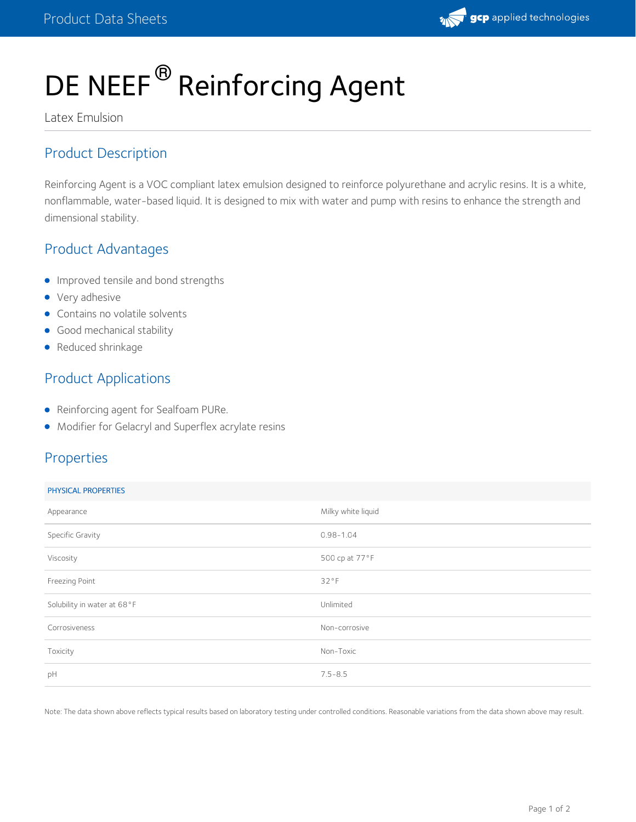

# DE NEEF<sup>®</sup> Reinforcing Agent

Latex Emulsion

# Product Description

Reinforcing Agent is a VOC compliant latex emulsion designed to reinforce polyurethane and acrylic resins. It is a white, nonflammable, water-based liquid. It is designed to mix with water and pump with resins to enhance the strength and dimensional stability.

# Product Advantages

- **Improved tensile and bond strengths**
- Very adhesive
- Contains no volatile solvents
- **Good mechanical stability**
- Reduced shrinkage

# Product Applications

- Reinforcing agent for Sealfoam PURe.
- Modifier for Gelacryl and Superflex acrylate resins

# Properties

#### PHYSICAL PROPERTIES

| Appearance                  | Milky white liquid |
|-----------------------------|--------------------|
| Specific Gravity            | $0.98 - 1.04$      |
| Viscosity                   | 500 cp at 77°F     |
| Freezing Point              | 32°F               |
| Solubility in water at 68°F | Unlimited          |
| Corrosiveness               | Non-corrosive      |
| Toxicity                    | Non-Toxic          |
| pH                          | $7.5 - 8.5$        |
|                             |                    |

Note: The data shown above reflects typical results based on laboratory testing under controlled conditions. Reasonable variations from the data shown above may result.